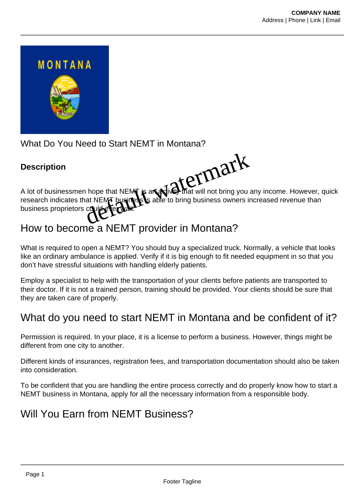

What Do You Need to Start NEMT in Montana?

#### **Description**

A lot of businessmen hope that NEMT is an activity that will not bring you any income. However, quick research indicates that NEMT business able to bring business owners increased revenue than business proprietors could ever wait. hope that NEMT is an Wind that will not bring you

# How to become a NEMT provider in Montana?

What is required to open a NEMT? You should buy a specialized truck. Normally, a vehicle that looks like an ordinary ambulance is applied. Verify if it is big enough to fit needed equipment in so that you don't have stressful situations with handling elderly patients.

Employ a specialist to help with the transportation of your clients before patients are transported to their doctor. If it is not a trained person, training should be provided. Your clients should be sure that they are taken care of properly.

## What do you need to start NEMT in Montana and be confident of it?

Permission is required. In your place, it is a license to perform a business. However, things might be different from one city to another.

Different kinds of insurances, registration fees, and transportation documentation should also be taken into consideration.

To be confident that you are handling the entire process correctly and do properly know how to start a NEMT business in Montana, apply for all the necessary information from a responsible body.

### Will You Earn from NEMT Business?